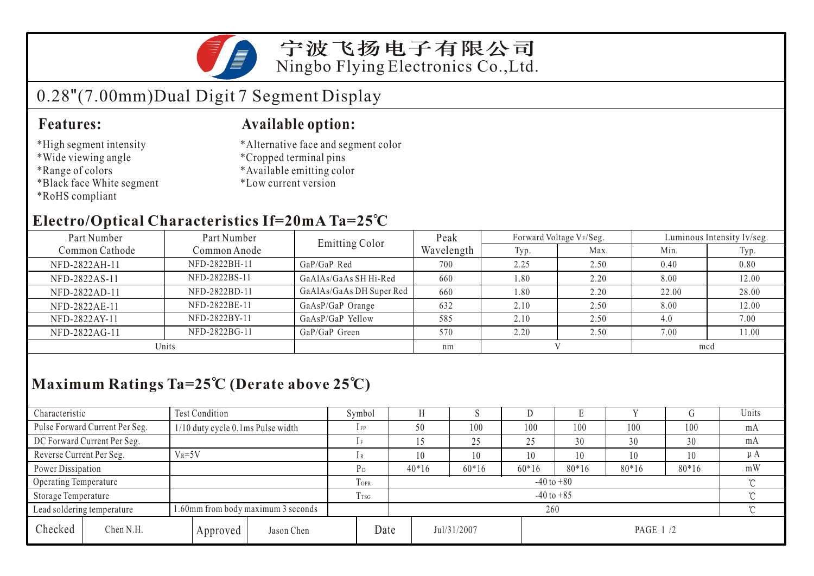

### 宁波飞扬电子有限公司 Ningbo Flying Electronics Co.,Ltd.

# 0.28"(7.00mm)Dual Digit 7 Segment Display

#### **Features:**

- \*High segment intensity
- \*Wide viewing angle
- \*Range of colors
- \*Black face White segment
- \*RoHS compliant

#### **Available option:**

- \*Alternative face and segment color
- \*Cropped terminal pins
- \*Available emitting color
- \*Low current version

### **Electro/Optical Characteristics If=20mA Ta=25 C**

| Part Number    | Part Number   | <b>Emitting Color</b>    | Peak       |      | Forward Voltage VF/Seg. | Luminous Intensity Iv/seg. |       |  |
|----------------|---------------|--------------------------|------------|------|-------------------------|----------------------------|-------|--|
| Common Cathode | Common Anode  |                          | Wavelength | Typ. | Max.                    | Min.                       | Typ.  |  |
| NFD-2822AH-11  | NFD-2822BH-11 | $GaP/GaP$ Red            | 700        | 2.25 | 2.50                    | 0.40                       | 0.80  |  |
| NFD-2822AS-11  | NFD-2822BS-11 | GaAlAs/GaAs SH Hi-Red    | 660        | 1.80 | 2.20                    | 8.00                       | 12.00 |  |
| NFD-2822AD-11  | NFD-2822BD-11 | GaAlAs/GaAs DH Super Red | 660        | 1.80 | 2.20                    | 22.00                      | 28.00 |  |
| NFD-2822AE-11  | NFD-2822BE-11 | GaAsP/GaP Orange         | 632        | 2.10 | 2.50                    | 8.00                       | 12.00 |  |
| NFD-2822AY-11  | NFD-2822BY-11 | GaAsP/GaP Yellow         | 585        | 2.10 | 2.50                    | 4.0                        | 7.00  |  |
| NFD-2822AG-11  | NFD-2822BG-11 | GaP/GaP Green            | 570        | 2.20 | 2.50                    | 7.00                       | 11.00 |  |
| Units          |               |                          | nm         |      |                         | mcd                        |       |  |

## **Maximum Ratings Ta=25 C (Derate above 25 C)**

| Characteristic                                                   |                                | <b>Test Condition</b>             |            |                  | Symbol                     |         |             | ν       |          |         |          | Units |  |
|------------------------------------------------------------------|--------------------------------|-----------------------------------|------------|------------------|----------------------------|---------|-------------|---------|----------|---------|----------|-------|--|
|                                                                  | Pulse Forward Current Per Seg. | 1/10 duty cycle 0.1ms Pulse width |            |                  | $1$ FP                     | 50      | 100         | 100     | 100      | 100     | 100      | mA    |  |
|                                                                  | DC Forward Current Per Seg.    |                                   |            |                  | 1F                         |         | 25          | 25      | 30       | 30      | 30       | mA    |  |
| $V_R = 5V$<br>Reverse Current Per Seg.                           |                                |                                   |            | 10               | 10                         | 10      | 10          | 10      | 10       | $\mu A$ |          |       |  |
| Power Dissipation                                                |                                |                                   |            |                  | $P_D$                      | $40*16$ | $60*16$     | $60*16$ | $80*16$  | $80*16$ | $80*16$  | mW    |  |
| Operating Temperature                                            |                                |                                   |            | <b>TOPR</b>      | $-40$ to $+80$             |         |             |         |          |         | $\gamma$ |       |  |
| Storage Temperature                                              |                                |                                   |            | T <sub>TSG</sub> | $-40$ to $+85$<br>$\gamma$ |         |             |         |          |         |          |       |  |
| 1.60mm from body maximum 3 seconds<br>Lead soldering temperature |                                |                                   |            |                  | 260                        |         |             |         |          |         |          |       |  |
| Checked                                                          | Chen N.H.                      | Approved                          | Jason Chen | Date             |                            |         | Jul/31/2007 |         | PAGE 1/2 |         |          |       |  |